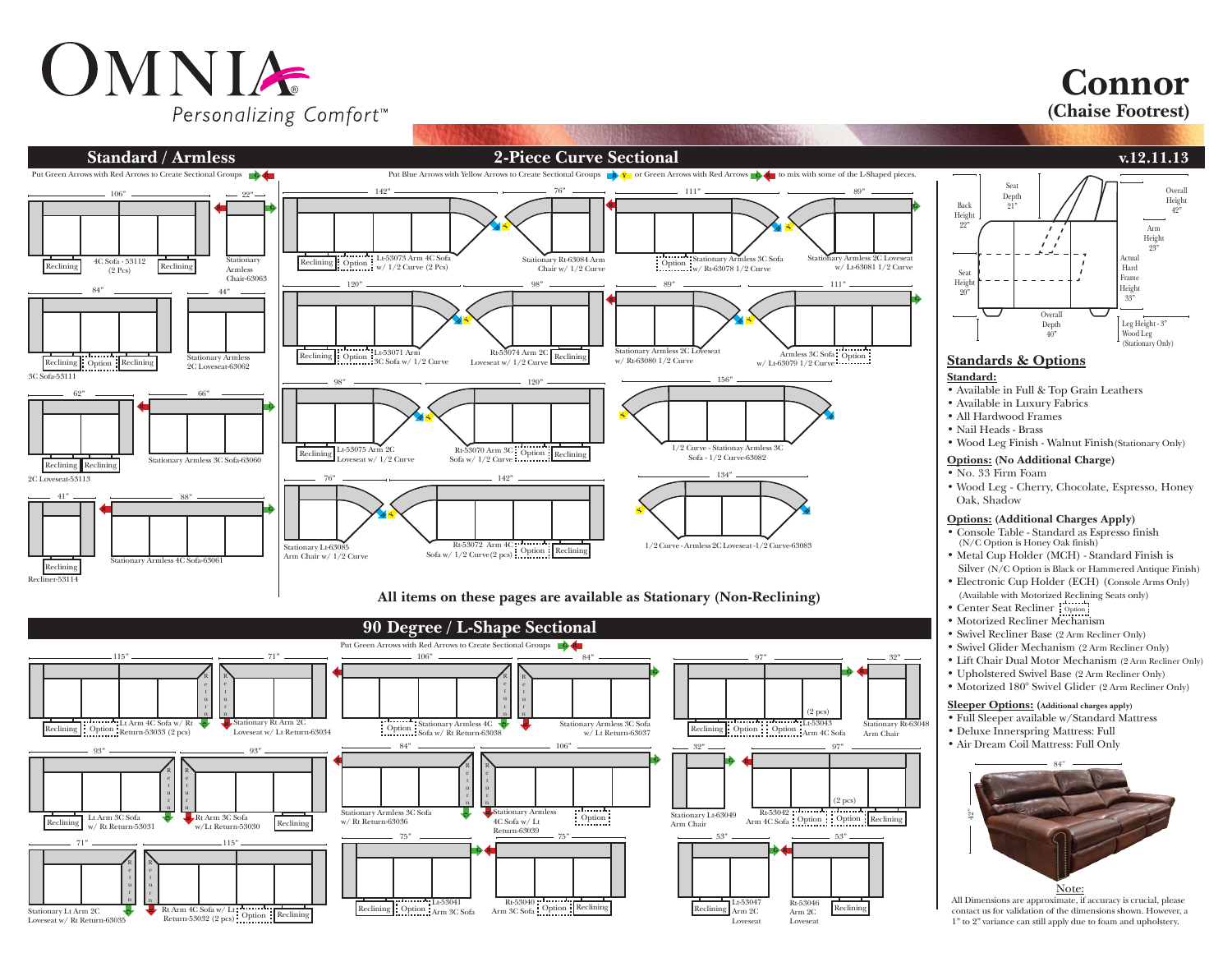## OMNIA Personalizing Comfort<sup>™</sup>

**Connor** 

**(Chaise Footrest)**